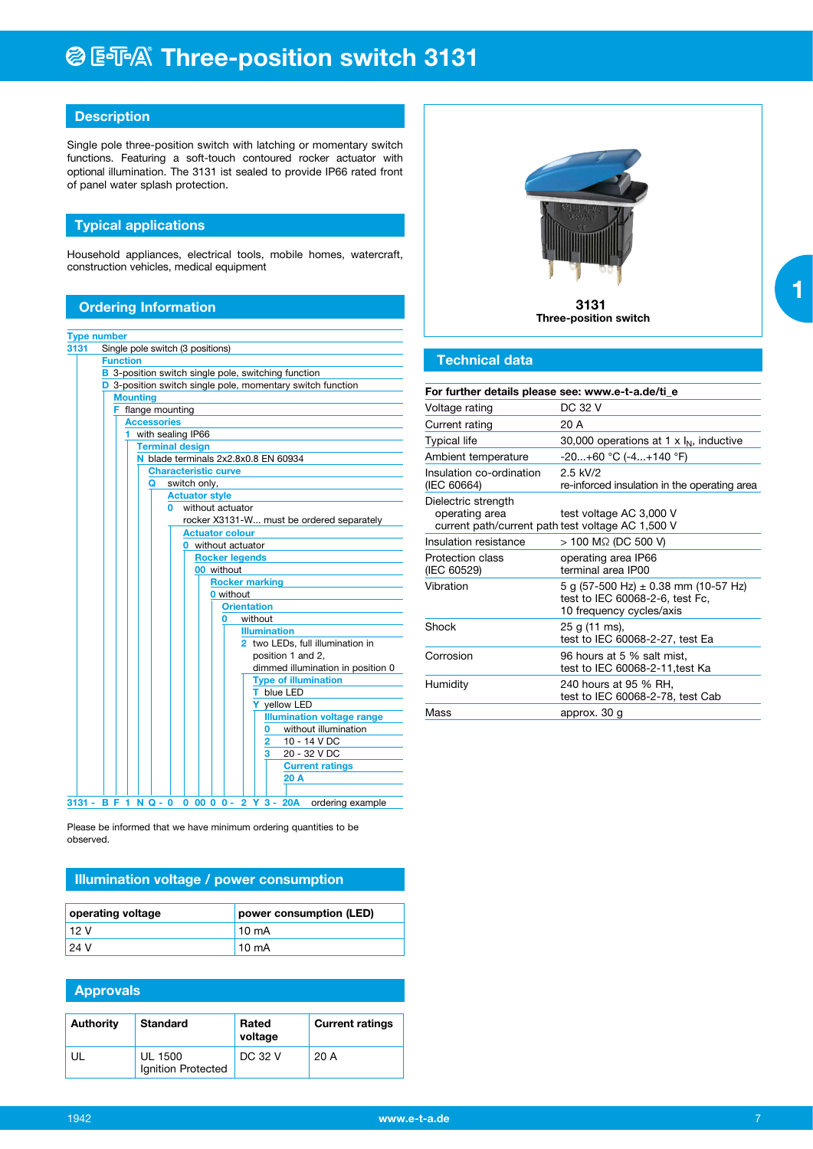## **@E** 不 Three-position switch 3131

## **Description**

Single pole three-position switch with latching or momentary switch functions. Featuring a soft-touch contoured rocker actuator with optional illumination. The 3131 ist sealed to provide IP66 rated front of panel water splash protection.

## **Typical applications**

Household appliances, electrical tools, mobile homes, watercraft, construction vehicles, medical equipment

## **Ordering Information**

|      | <b>Type number</b>                                                   |
|------|----------------------------------------------------------------------|
| 3131 | Single pole switch (3 positions)                                     |
|      | <b>Function</b>                                                      |
|      | <b>B</b> 3-position switch single pole, switching function           |
|      | D 3-position switch single pole, momentary switch function           |
|      | <b>Mounting</b>                                                      |
|      | F flange mounting                                                    |
|      | <b>Accessories</b>                                                   |
|      | with sealing IP66<br>1                                               |
|      | <b>Terminal design</b>                                               |
|      | N blade terminals 2x2,8x0.8 EN 60934                                 |
|      | <b>Characteristic curve</b>                                          |
|      | switch only,<br>Q                                                    |
|      | <b>Actuator style</b>                                                |
|      | without actuator<br>n                                                |
|      | rocker X3131-W must be ordered separately                            |
|      | <b>Actuator colour</b>                                               |
|      | <b>0</b> without actuator                                            |
|      | <b>Rocker legends</b>                                                |
|      | 00 without                                                           |
|      | <b>Rocker marking</b>                                                |
|      | <b>0</b> without                                                     |
|      | <b>Orientation</b>                                                   |
|      | without<br>0                                                         |
|      | <b>Illumination</b>                                                  |
|      | 2 two LEDs, full illumination in                                     |
|      | position 1 and 2,                                                    |
|      | dimmed illumination in position 0                                    |
|      | <b>Type of illumination</b>                                          |
|      | T blue LED                                                           |
|      | Y yellow LED                                                         |
|      | <b>Illumination voltage range</b>                                    |
|      | without illumination<br>0                                            |
|      | 10 - 14 V DC<br>2                                                    |
|      | 20 - 32 V DC<br>з                                                    |
|      | <b>Current ratings</b>                                               |
|      | 20 A                                                                 |
|      | 3131 - B F 1 N Q - 0<br>$0$ 00 0 0 - 2 Y 3 - 20A<br>ordering example |

Please be informed that we have minimum ordering quantities to be observed.

## **Illumination voltage / power consumption**

| operating voltage | power consumption (LED) |  |
|-------------------|-------------------------|--|
| l 12 V            | 10 <sub>m</sub> A       |  |
| 24 V              | $10 \text{ mA}$         |  |

| <b>Approvals</b> |                                      |                  |                        |  |  |  |  |  |
|------------------|--------------------------------------|------------------|------------------------|--|--|--|--|--|
| <b>Authority</b> | <b>Standard</b>                      | Rated<br>voltage | <b>Current ratings</b> |  |  |  |  |  |
| UL               | <b>UL 1500</b><br>Ignition Protected | DC 32 V          | 20 A                   |  |  |  |  |  |



 **3131 Three-position switch**

### **Technical data**

| For further details please see: www.e-t-a.de/ti e                                          |                                                                                                         |  |  |  |
|--------------------------------------------------------------------------------------------|---------------------------------------------------------------------------------------------------------|--|--|--|
| Voltage rating                                                                             | DC 32 V                                                                                                 |  |  |  |
| Current rating                                                                             | 20 A                                                                                                    |  |  |  |
| <b>Typical life</b>                                                                        | 30,000 operations at 1 x $I_N$ , inductive                                                              |  |  |  |
| Ambient temperature                                                                        | $-20+60$ °C $(-4+140$ °F)                                                                               |  |  |  |
| Insulation co-ordination<br>(IEC 60664)                                                    | $2.5$ kV/2<br>re-inforced insulation in the operating area                                              |  |  |  |
| Dielectric strength<br>operating area<br>current path/current path test voltage AC 1,500 V | test voltage AC 3,000 V                                                                                 |  |  |  |
| Insulation resistance                                                                      | $> 100$ M $\Omega$ (DC 500 V)                                                                           |  |  |  |
| Protection class<br>(IEC 60529)                                                            | operating area IP66<br>terminal area IP00                                                               |  |  |  |
| Vibration                                                                                  | 5 g (57-500 Hz) $\pm$ 0.38 mm (10-57 Hz)<br>test to IEC 60068-2-6, test Fc,<br>10 frequency cycles/axis |  |  |  |
| Shock                                                                                      | 25 g (11 ms),<br>test to IEC 60068-2-27, test Ea                                                        |  |  |  |
| Corrosion                                                                                  | 96 hours at 5 % salt mist,<br>test to IEC 60068-2-11, test Ka                                           |  |  |  |
| Humidity                                                                                   | 240 hours at 95 % RH,<br>test to IEC 60068-2-78, test Cab                                               |  |  |  |
| Mass                                                                                       | approx. 30 g                                                                                            |  |  |  |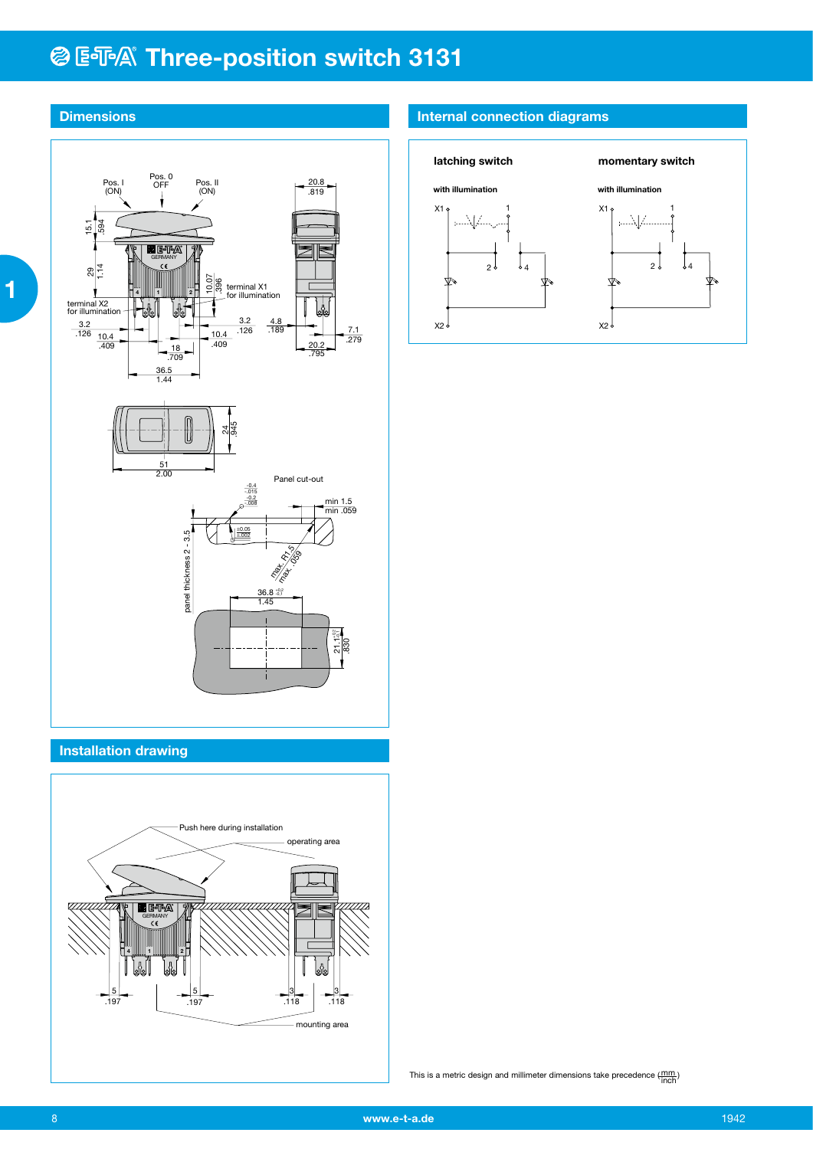# **@E** FA Three-position switch 3131



## **Installation drawing**

 **1**



## **Internal connection diagrams**



This is a metric design and millimeter dimensions take precedence  $(\frac{mm}{inch})$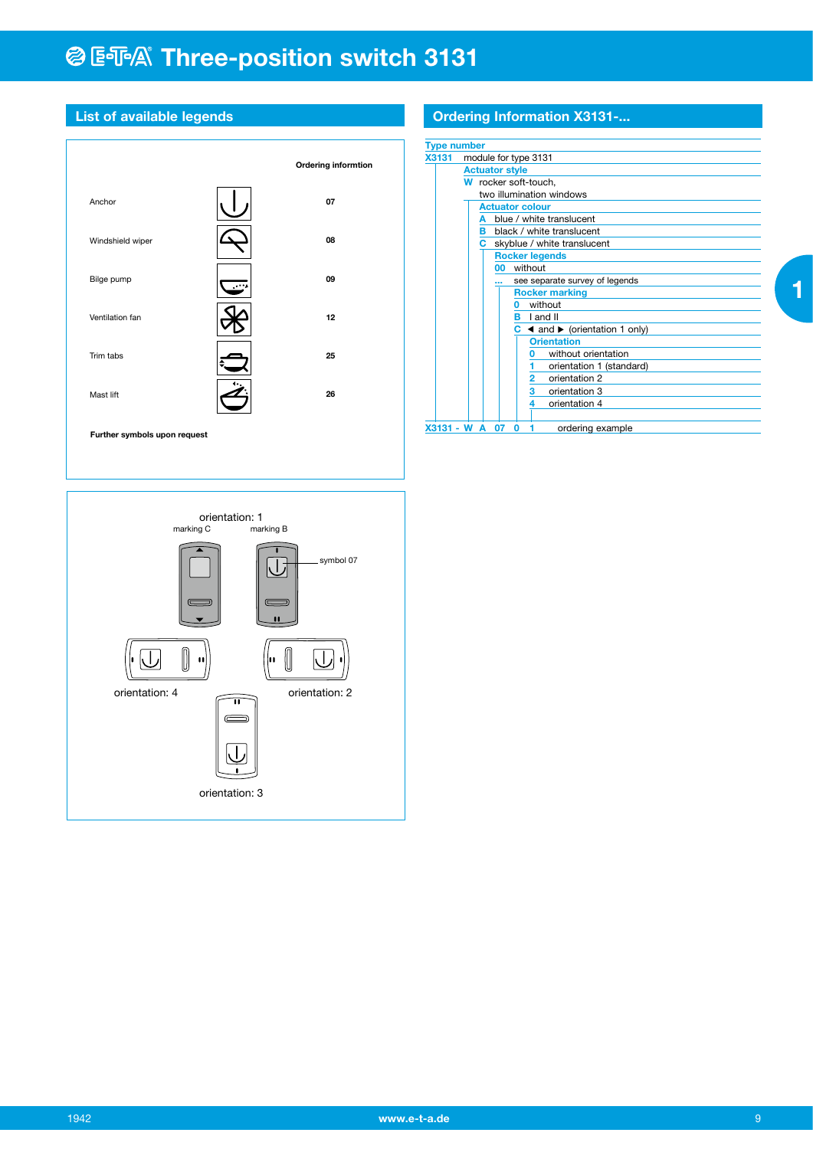# **@ ESA® Three-position switch 3131**



## **List of available legends**

## **Ordering Information X3131-...**

| <b>Type number</b> |                                                             |
|--------------------|-------------------------------------------------------------|
| <b>X3131</b>       | module for type 3131                                        |
|                    | <b>Actuator style</b>                                       |
|                    | W rocker soft-touch,                                        |
|                    | two illumination windows                                    |
|                    | <b>Actuator colour</b>                                      |
|                    | blue / white translucent<br>A                               |
|                    | black / white translucent<br>в                              |
|                    | skyblue / white translucent<br>C.                           |
|                    | <b>Rocker legends</b>                                       |
|                    | without<br>00                                               |
|                    | see separate survey of legends                              |
|                    | <b>Rocker marking</b>                                       |
|                    | without<br>n                                                |
|                    | I and II<br>в                                               |
|                    | $C \triangleleft$ and $\triangleright$ (orientation 1 only) |
|                    | <b>Orientation</b>                                          |
|                    | without orientation<br>o                                    |
|                    | orientation 1 (standard)                                    |
|                    | $\overline{2}$<br>orientation 2                             |
|                    | 3<br>orientation 3                                          |
|                    | orientation 4<br>4                                          |
| X3131 - W          | A<br>07<br>O<br>ordering example                            |

 **1**

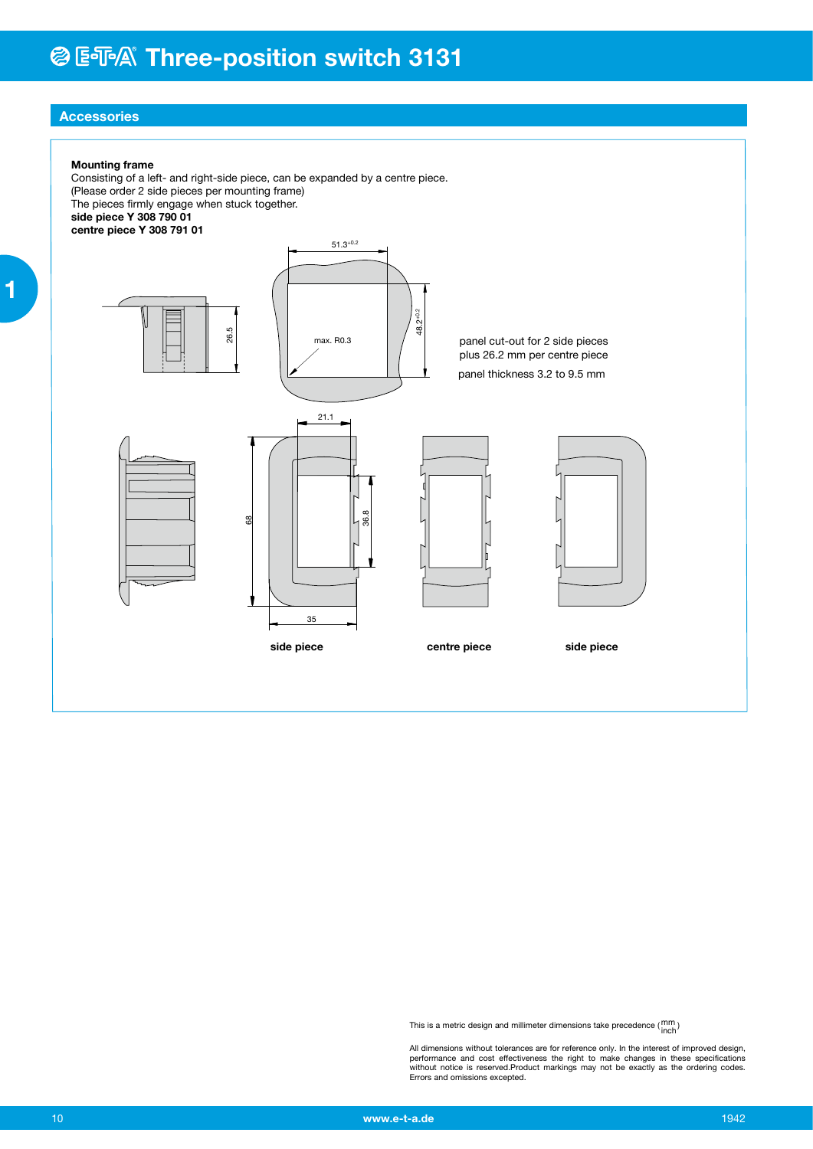## **Accessories**

#### **Mounting frame**

Consisting of a left- and right-side piece, can be expanded by a centre piece. (Please order 2 side pieces per mounting frame) The pieces firmly engage when stuck together. **side piece Y 308 790 01 centre piece Y 308 791 01**



This is a metric design and millimeter dimensions take precedence ( $\frac{\text{mm}}{\text{inch}}$ )

All dimensions without tolerances are for reference only. In the interest of improved design,<br>performance and cost effectiveness the right to make changes in these specifications<br>without notice is reserved.Product markings Errors and omissions excepted.